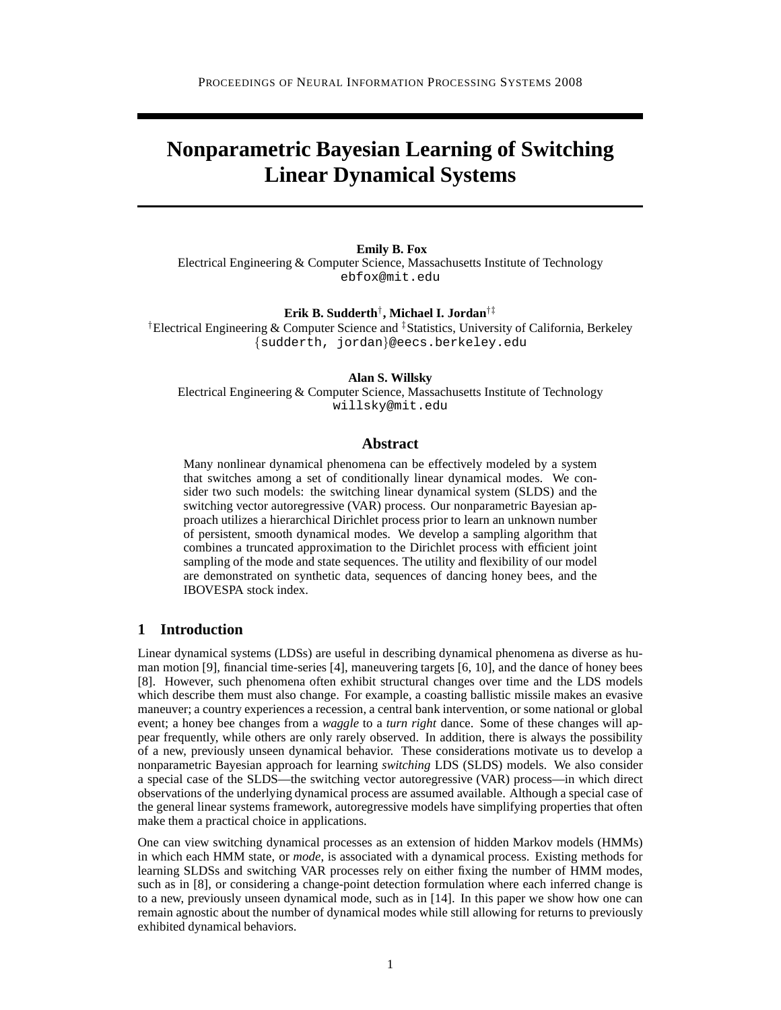# **Nonparametric Bayesian Learning of Switching Linear Dynamical Systems**

**Emily B. Fox** Electrical Engineering & Computer Science, Massachusetts Institute of Technology ebfox@mit.edu

**Erik B. Sudderth**† **, Michael I. Jordan**†‡

<sup>†</sup>Electrical Engineering & Computer Science and <sup>‡</sup>Statistics, University of California, Berkeley {sudderth, jordan}@eecs.berkeley.edu

#### **Alan S. Willsky**

Electrical Engineering & Computer Science, Massachusetts Institute of Technology willsky@mit.edu

#### **Abstract**

Many nonlinear dynamical phenomena can be effectively modeled by a system that switches among a set of conditionally linear dynamical modes. We consider two such models: the switching linear dynamical system (SLDS) and the switching vector autoregressive (VAR) process. Our nonparametric Bayesian approach utilizes a hierarchical Dirichlet process prior to learn an unknown number of persistent, smooth dynamical modes. We develop a sampling algorithm that combines a truncated approximation to the Dirichlet process with efficient joint sampling of the mode and state sequences. The utility and flexibility of our model are demonstrated on synthetic data, sequences of dancing honey bees, and the IBOVESPA stock index.

### **1 Introduction**

Linear dynamical systems (LDSs) are useful in describing dynamical phenomena as diverse as human motion [9], financial time-series [4], maneuvering targets [6, 10], and the dance of honey bees [8]. However, such phenomena often exhibit structural changes over time and the LDS models which describe them must also change. For example, a coasting ballistic missile makes an evasive maneuver; a country experiences a recession, a central bank intervention, or some national or global event; a honey bee changes from a *waggle* to a *turn right* dance. Some of these changes will appear frequently, while others are only rarely observed. In addition, there is always the possibility of a new, previously unseen dynamical behavior. These considerations motivate us to develop a nonparametric Bayesian approach for learning *switching* LDS (SLDS) models. We also consider a special case of the SLDS—the switching vector autoregressive (VAR) process—in which direct observations of the underlying dynamical process are assumed available. Although a special case of the general linear systems framework, autoregressive models have simplifying properties that often make them a practical choice in applications.

One can view switching dynamical processes as an extension of hidden Markov models (HMMs) in which each HMM state, or *mode*, is associated with a dynamical process. Existing methods for learning SLDSs and switching VAR processes rely on either fixing the number of HMM modes, such as in [8], or considering a change-point detection formulation where each inferred change is to a new, previously unseen dynamical mode, such as in [14]. In this paper we show how one can remain agnostic about the number of dynamical modes while still allowing for returns to previously exhibited dynamical behaviors.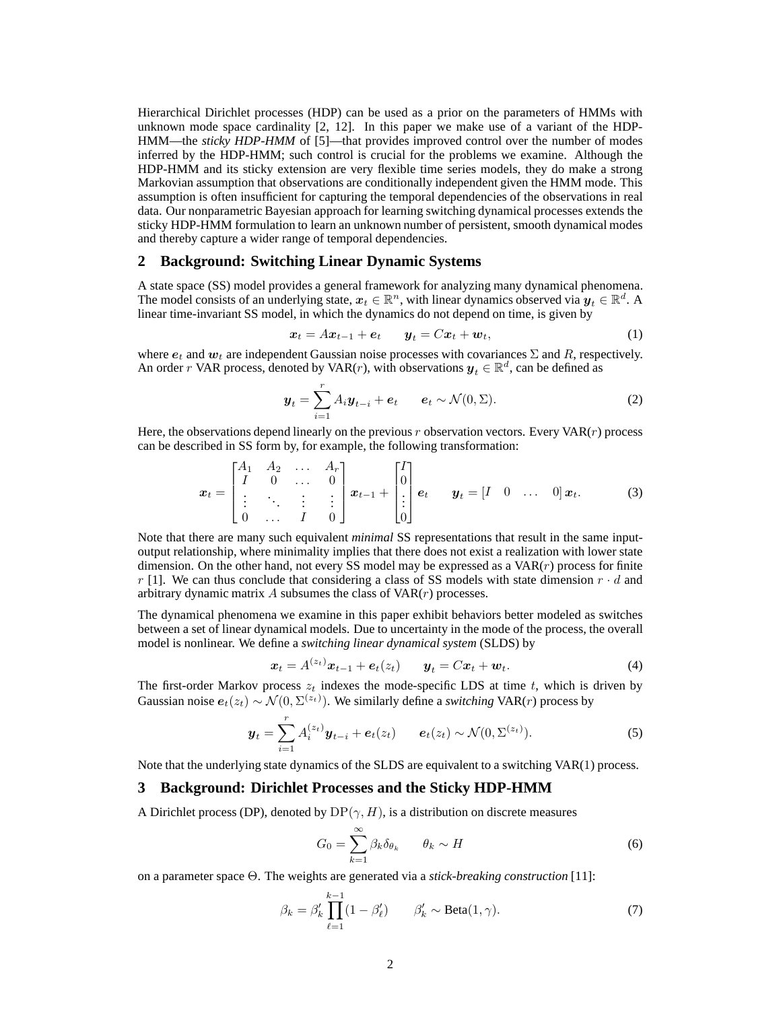Hierarchical Dirichlet processes (HDP) can be used as a prior on the parameters of HMMs with unknown mode space cardinality [2, 12]. In this paper we make use of a variant of the HDP-HMM—the *sticky HDP-HMM* of [5]—that provides improved control over the number of modes inferred by the HDP-HMM; such control is crucial for the problems we examine. Although the HDP-HMM and its sticky extension are very flexible time series models, they do make a strong Markovian assumption that observations are conditionally independent given the HMM mode. This assumption is often insufficient for capturing the temporal dependencies of the observations in real data. Our nonparametric Bayesian approach for learning switching dynamical processes extends the sticky HDP-HMM formulation to learn an unknown number of persistent, smooth dynamical modes and thereby capture a wider range of temporal dependencies.

#### **2 Background: Switching Linear Dynamic Systems**

A state space (SS) model provides a general framework for analyzing many dynamical phenomena. The model consists of an underlying state,  $x_t \in \mathbb{R}^n$ , with linear dynamics observed via  $y_t \in \mathbb{R}^d$ . A linear time-invariant SS model, in which the dynamics do not depend on time, is given by

$$
\boldsymbol{x}_t = A\boldsymbol{x}_{t-1} + \boldsymbol{e}_t \qquad \boldsymbol{y}_t = C\boldsymbol{x}_t + \boldsymbol{w}_t,\tag{1}
$$

where  $e_t$  and  $w_t$  are independent Gaussian noise processes with covariances  $\Sigma$  and R, respectively. An order r VAR process, denoted by VAR(r), with observations  $y_t \in \mathbb{R}^d$ , can be defined as

$$
\boldsymbol{y}_t = \sum_{i=1}^r A_i \boldsymbol{y}_{t-i} + \boldsymbol{e}_t \qquad \boldsymbol{e}_t \sim \mathcal{N}(0, \boldsymbol{\Sigma}). \tag{2}
$$

Here, the observations depend linearly on the previous  $r$  observation vectors. Every VAR( $r$ ) process can be described in SS form by, for example, the following transformation:

$$
\boldsymbol{x}_t = \begin{bmatrix} A_1 & A_2 & \dots & A_r \\ I & 0 & \dots & 0 \\ \vdots & \ddots & \vdots & \vdots \\ 0 & \dots & I & 0 \end{bmatrix} \boldsymbol{x}_{t-1} + \begin{bmatrix} I \\ 0 \\ \vdots \\ 0 \end{bmatrix} \boldsymbol{e}_t \qquad \boldsymbol{y}_t = \begin{bmatrix} I & 0 & \dots & 0 \end{bmatrix} \boldsymbol{x}_t. \tag{3}
$$

Note that there are many such equivalent *minimal* SS representations that result in the same inputoutput relationship, where minimality implies that there does not exist a realization with lower state dimension. On the other hand, not every SS model may be expressed as a  $VAR(r)$  process for finite r [1]. We can thus conclude that considering a class of SS models with state dimension  $r \cdot d$  and arbitrary dynamic matrix  $A$  subsumes the class of  $VAR(r)$  processes.

The dynamical phenomena we examine in this paper exhibit behaviors better modeled as switches between a set of linear dynamical models. Due to uncertainty in the mode of the process, the overall model is nonlinear. We define a *switching linear dynamical system* (SLDS) by

$$
\boldsymbol{x}_t = A^{(z_t)} \boldsymbol{x}_{t-1} + \boldsymbol{e}_t(z_t) \qquad \boldsymbol{y}_t = C \boldsymbol{x}_t + \boldsymbol{w}_t. \tag{4}
$$

The first-order Markov process  $z_t$  indexes the mode-specific LDS at time t, which is driven by Gaussian noise  $e_t(z_t) \sim \mathcal{N}(0, \Sigma^{(z_t)})$ . We similarly define a *switching* VAR(*r*) process by

$$
\boldsymbol{y}_{t} = \sum_{i=1}^{r} A_{i}^{(z_{t})} \boldsymbol{y}_{t-i} + \boldsymbol{e}_{t}(z_{t}) \qquad \boldsymbol{e}_{t}(z_{t}) \sim \mathcal{N}(0, \Sigma^{(z_{t})}). \tag{5}
$$

Note that the underlying state dynamics of the SLDS are equivalent to a switching VAR(1) process.

## **3 Background: Dirichlet Processes and the Sticky HDP-HMM**

A Dirichlet process (DP), denoted by  $DP(\gamma, H)$ , is a distribution on discrete measures

$$
G_0 = \sum_{k=1}^{\infty} \beta_k \delta_{\theta_k} \qquad \theta_k \sim H \tag{6}
$$

on a parameter space Θ. The weights are generated via a *stick-breaking construction* [11]:

$$
\beta_k = \beta'_k \prod_{\ell=1}^{k-1} (1 - \beta'_\ell) \qquad \beta'_k \sim \text{Beta}(1, \gamma). \tag{7}
$$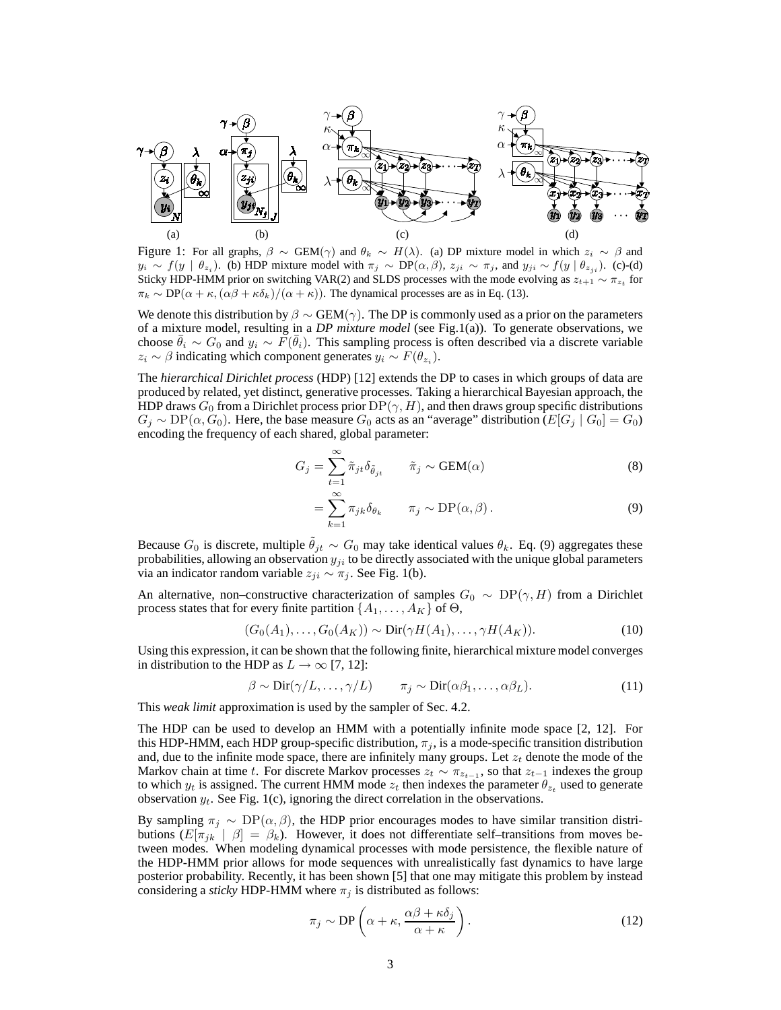

Figure 1: For all graphs,  $\beta \sim \text{GEM}(\gamma)$  and  $\theta_k \sim H(\lambda)$ . (a) DP mixture model in which  $z_i \sim \beta$  and  $y_i \sim f(y \mid \theta_{z_i})$ . (b) HDP mixture model with  $\pi_j \sim DP(\alpha, \beta)$ ,  $z_{ji} \sim \pi_j$ , and  $y_{ji} \sim f(y \mid \theta_{z_ji})$ . (c)-(d) Sticky HDP-HMM prior on switching VAR(2) and SLDS processes with the mode evolving as  $z_{t+1} \sim \pi_{z_t}$  for  $\pi_k \sim DP(\alpha + \kappa, (\alpha\beta + \kappa\delta_k)/(\alpha + \kappa)).$  The dynamical processes are as in Eq. (13).

We denote this distribution by  $\beta \sim \text{GEM}(\gamma)$ . The DP is commonly used as a prior on the parameters of a mixture model, resulting in a *DP mixture model* (see Fig.1(a)). To generate observations, we choose  $\bar{\theta}_i \sim G_0$  and  $y_i \sim \bar{F}(\bar{\theta}_i)$ . This sampling process is often described via a discrete variable  $z_i \sim \beta$  indicating which component generates  $y_i \sim F(\theta_{z_i})$ .

The *hierarchical Dirichlet process* (HDP) [12] extends the DP to cases in which groups of data are produced by related, yet distinct, generative processes. Taking a hierarchical Bayesian approach, the HDP draws  $G_0$  from a Dirichlet process prior  $DP(\gamma, H)$ , and then draws group specific distributions  $G_j \sim DP(\alpha, G_0)$ . Here, the base measure  $G_0$  acts as an "average" distribution ( $E[G_j | G_0] = G_0$ ) encoding the frequency of each shared, global parameter:

$$
G_j = \sum_{t=1}^{\infty} \tilde{\pi}_{jt} \delta_{\tilde{\theta}_{jt}} \qquad \tilde{\pi}_j \sim \text{GEM}(\alpha)
$$
 (8)

$$
= \sum_{k=1}^{\infty} \pi_{jk} \delta_{\theta_k} \qquad \pi_j \sim \text{DP}(\alpha, \beta).
$$
 (9)

Because  $G_0$  is discrete, multiple  $\theta_{jt} \sim G_0$  may take identical values  $\theta_k$ . Eq. (9) aggregates these probabilities, allowing an observation  $y_{ji}$  to be directly associated with the unique global parameters via an indicator random variable  $z_{ji} \sim \pi_j$ . See Fig. 1(b).

An alternative, non–constructive characterization of samples  $G_0 \sim DP(\gamma, H)$  from a Dirichlet process states that for every finite partition  $\{A_1, \ldots, A_K\}$  of  $\Theta$ ,

$$
(G_0(A_1),\ldots,G_0(A_K)) \sim \text{Dir}(\gamma H(A_1),\ldots,\gamma H(A_K)).\tag{10}
$$

Using this expression, it can be shown that the following finite, hierarchical mixture model converges in distribution to the HDP as  $L \rightarrow \infty$  [7, 12]:

$$
\beta \sim \text{Dir}(\gamma/L, \dots, \gamma/L) \qquad \pi_j \sim \text{Dir}(\alpha \beta_1, \dots, \alpha \beta_L). \tag{11}
$$

This *weak limit* approximation is used by the sampler of Sec. 4.2.

The HDP can be used to develop an HMM with a potentially infinite mode space [2, 12]. For this HDP-HMM, each HDP group-specific distribution,  $\pi_j$ , is a mode-specific transition distribution and, due to the infinite mode space, there are infinitely many groups. Let  $z_t$  denote the mode of the Markov chain at time t. For discrete Markov processes  $z_t \sim \pi_{z_{t-1}}$ , so that  $z_{t-1}$  indexes the group to which  $y_t$  is assigned. The current HMM mode  $z_t$  then indexes the parameter  $\theta_{z_t}$  used to generate observation  $y_t$ . See Fig. 1(c), ignoring the direct correlation in the observations.

By sampling  $\pi_j \sim DP(\alpha, \beta)$ , the HDP prior encourages modes to have similar transition distributions  $(E[\pi_{jk} \mid \beta] = \beta_k)$ . However, it does not differentiate self-transitions from moves between modes. When modeling dynamical processes with mode persistence, the flexible nature of the HDP-HMM prior allows for mode sequences with unrealistically fast dynamics to have large posterior probability. Recently, it has been shown [5] that one may mitigate this problem by instead considering a *sticky* HDP-HMM where  $\pi_j$  is distributed as follows:

$$
\pi_j \sim \mathrm{DP}\left(\alpha + \kappa, \frac{\alpha \beta + \kappa \delta_j}{\alpha + \kappa}\right). \tag{12}
$$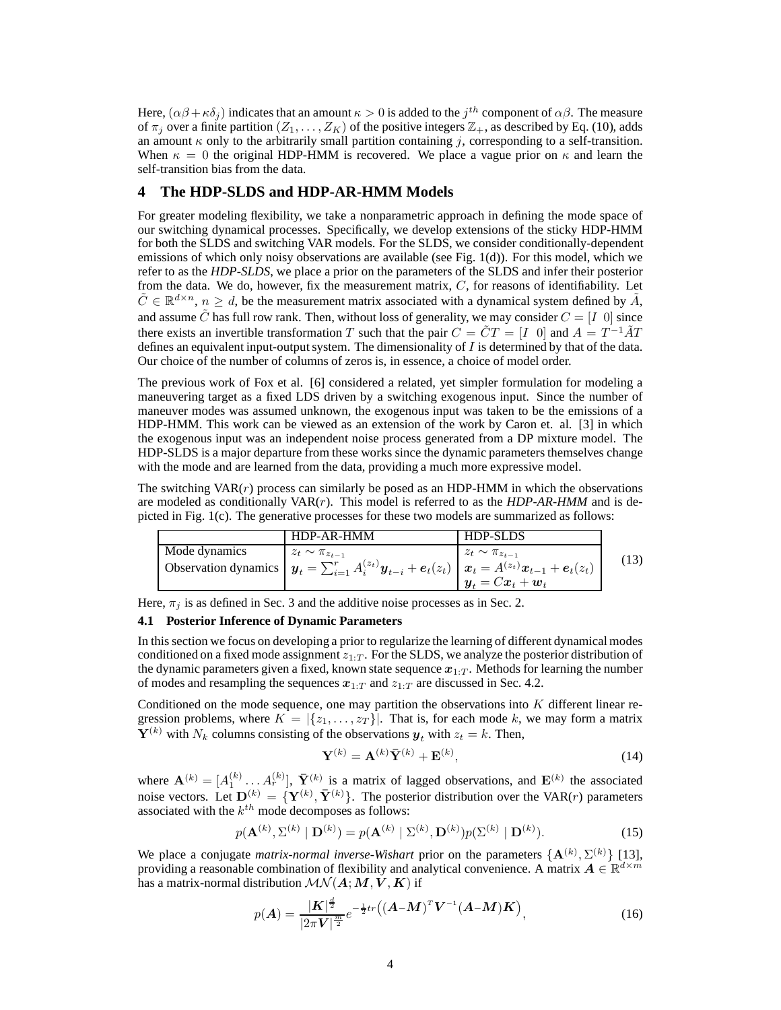Here,  $(\alpha\beta+\kappa\delta_j)$  indicates that an amount  $\kappa>0$  is added to the  $j^{th}$  component of  $\alpha\beta$ . The measure of  $\pi_j$  over a finite partition  $(Z_1, \ldots, Z_K)$  of the positive integers  $\mathbb{Z}_+$ , as described by Eq. (10), adds an amount  $\kappa$  only to the arbitrarily small partition containing j, corresponding to a self-transition. When  $\kappa = 0$  the original HDP-HMM is recovered. We place a vague prior on  $\kappa$  and learn the self-transition bias from the data.

## **4 The HDP-SLDS and HDP-AR-HMM Models**

For greater modeling flexibility, we take a nonparametric approach in defining the mode space of our switching dynamical processes. Specifically, we develop extensions of the sticky HDP-HMM for both the SLDS and switching VAR models. For the SLDS, we consider conditionally-dependent emissions of which only noisy observations are available (see Fig. 1(d)). For this model, which we refer to as the *HDP-SLDS*, we place a prior on the parameters of the SLDS and infer their posterior from the data. We do, however, fix the measurement matrix,  $C$ , for reasons of identifiability. Let  $\tilde{C} \in \mathbb{R}^{d \times n}$ ,  $n \geq d$ , be the measurement matrix associated with a dynamical system defined by  $\tilde{A}$ , and assume  $\tilde{C}$  has full row rank. Then, without loss of generality, we may consider  $C = \begin{bmatrix} I & 0 \end{bmatrix}$  since there exists an invertible transformation T such that the pair  $C = \tilde{C}T = [I \ 0]$  and  $A = T^{-1}\tilde{A}T$ defines an equivalent input-output system. The dimensionality of  $I$  is determined by that of the data. Our choice of the number of columns of zeros is, in essence, a choice of model order.

The previous work of Fox et al. [6] considered a related, yet simpler formulation for modeling a maneuvering target as a fixed LDS driven by a switching exogenous input. Since the number of maneuver modes was assumed unknown, the exogenous input was taken to be the emissions of a HDP-HMM. This work can be viewed as an extension of the work by Caron et. al. [3] in which the exogenous input was an independent noise process generated from a DP mixture model. The HDP-SLDS is a major departure from these works since the dynamic parameters themselves change with the mode and are learned from the data, providing a much more expressive model.

The switching  $VAR(r)$  process can similarly be posed as an HDP-HMM in which the observations are modeled as conditionally VAR(r). This model is referred to as the *HDP-AR-HMM* and is depicted in Fig. 1(c). The generative processes for these two models are summarized as follows:

|               | HDP-AR-HMM                                                                                                                 | <b>HDP-SLDS</b>          |      |
|---------------|----------------------------------------------------------------------------------------------------------------------------|--------------------------|------|
| Mode dynamics | $z_t \sim \pi_{z_{t-1}}$                                                                                                   | $z_t \sim \pi_{z_{t-1}}$ |      |
|               | Observation dynamics $\left  y_t = \sum_{i=1}^r A_i^{(z_t)} y_{t-i} + e_t(z_t) \right  x_t = A^{(z_t)} x_{t-1} + e_t(z_t)$ |                          | (13) |
|               |                                                                                                                            | $y_t = Cx_t + w_t$       |      |

Here,  $\pi_j$  is as defined in Sec. 3 and the additive noise processes as in Sec. 2.

#### **4.1 Posterior Inference of Dynamic Parameters**

In this section we focus on developing a prior to regularize the learning of different dynamical modes conditioned on a fixed mode assignment  $z_{1:T}$ . For the SLDS, we analyze the posterior distribution of the dynamic parameters given a fixed, known state sequence  $x_{1:T}$ . Methods for learning the number of modes and resampling the sequences  $x_{1:T}$  and  $z_{1:T}$  are discussed in Sec. 4.2.

Conditioned on the mode sequence, one may partition the observations into  $K$  different linear regression problems, where  $K = |\{z_1, \ldots, z_T\}|$ . That is, for each mode k, we may form a matrix  $\mathbf{Y}^{(k)}$  with  $N_k$  columns consisting of the observations  $y_t$  with  $z_t = k$ . Then,

$$
\mathbf{Y}^{(k)} = \mathbf{A}^{(k)} \bar{\mathbf{Y}}^{(k)} + \mathbf{E}^{(k)},\tag{14}
$$

where  $\mathbf{A}^{(k)} = [A_1^{(k)}, \dots, A_r^{(k)}]$ ,  $\bar{\mathbf{Y}}^{(k)}$  is a matrix of lagged observations, and  $\mathbf{E}^{(k)}$  the associated noise vectors. Let  $\mathbf{D}^{(k)} = \{ \mathbf{Y}^{(k)}, \bar{\mathbf{Y}}^{(k)} \}$ . The posterior distribution over the VAR(*r*) parameters associated with the  $k^{th}$  mode decomposes as follows:

$$
p(\mathbf{A}^{(k)}, \Sigma^{(k)} \mid \mathbf{D}^{(k)}) = p(\mathbf{A}^{(k)} \mid \Sigma^{(k)}, \mathbf{D}^{(k)})p(\Sigma^{(k)} \mid \mathbf{D}^{(k)}).
$$
 (15)

We place a conjugate *matrix-normal inverse-Wishart* prior on the parameters  ${A^{(k)}, \Sigma^{(k)}}$  [13], providing a reasonable combination of flexibility and analytical convenience. A matrix  $A \in \mathbb{R}^{d \times m}$ has a matrix-normal distribution  $\mathcal{MN}(A;M,\dot{V},K)$  if

$$
p(A) = \frac{|\mathbf{K}|^{\frac{d}{2}}}{|2\pi\mathbf{V}|^{\frac{m}{2}}}e^{-\frac{1}{2}tr}((\mathbf{A} - \mathbf{M})^T\mathbf{V}^{-1}(\mathbf{A} - \mathbf{M})\mathbf{K})
$$
\n(16)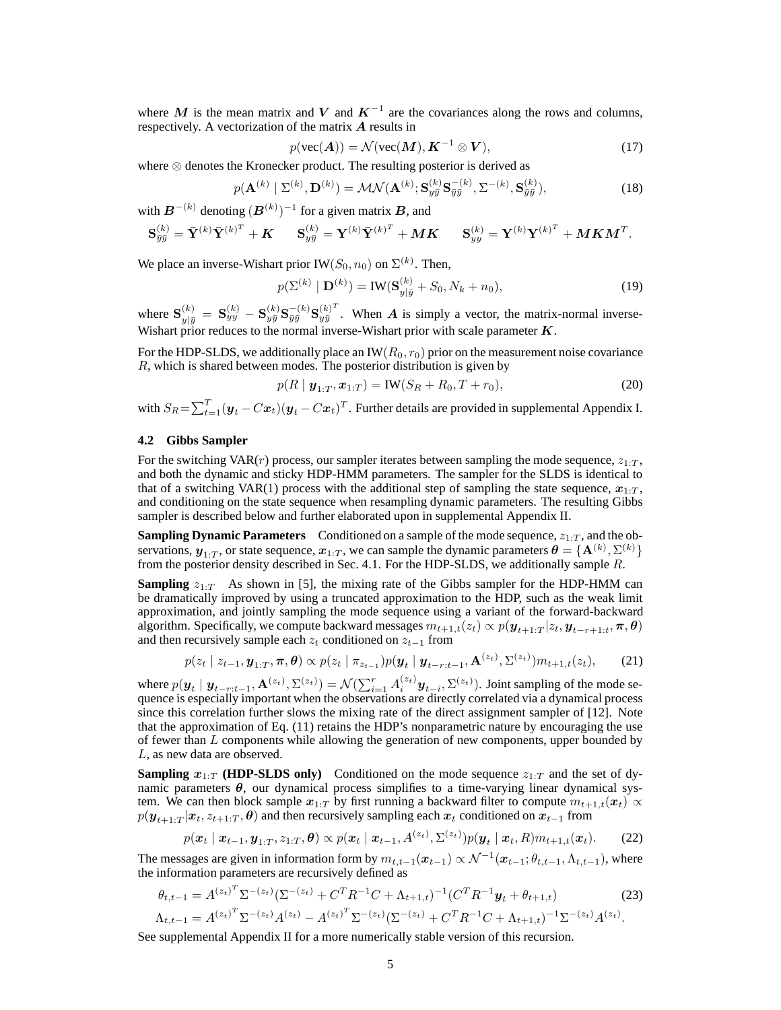where M is the mean matrix and V and  $K^{-1}$  are the covariances along the rows and columns, respectively. A vectorization of the matrix A results in

$$
p(\text{vec}(\boldsymbol{A})) = \mathcal{N}(\text{vec}(\boldsymbol{M}), \boldsymbol{K}^{-1} \otimes \boldsymbol{V}),
$$
\n(17)

where ⊗ denotes the Kronecker product. The resulting posterior is derived as

$$
p(\mathbf{A}^{(k)} | \Sigma^{(k)}, \mathbf{D}^{(k)}) = \mathcal{MN}(\mathbf{A}^{(k)}; \mathbf{S}_{y\bar{y}}^{(k)} \mathbf{S}_{\bar{y}\bar{y}}^{-(k)}, \Sigma^{-(k)}, \mathbf{S}_{\bar{y}\bar{y}}^{(k)}),
$$
(18)

with  $B^{-(k)}$  denoting  $(B^{(k)})^{-1}$  for a given matrix  $B$ , and

$$
\mathbf{S}_{\bar{y}\bar{y}}^{(k)} = \bar{\mathbf{Y}}^{(k)} \bar{\mathbf{Y}}^{(k)^{T}} + \mathbf{K} \qquad \mathbf{S}_{y\bar{y}}^{(k)} = \mathbf{Y}^{(k)} \bar{\mathbf{Y}}^{(k)^{T}} + \mathbf{M}\mathbf{K} \qquad \mathbf{S}_{yy}^{(k)} = \mathbf{Y}^{(k)} \mathbf{Y}^{(k)^{T}} + \mathbf{M}\mathbf{K}\mathbf{M}^{T}.
$$

We place an inverse-Wishart prior IW $(S_0, n_0)$  on  $\Sigma^{(k)}$ . Then,

$$
p(\Sigma^{(k)} \mid \mathbf{D}^{(k)}) = \text{IW}(\mathbf{S}_{y|\bar{y}}^{(k)} + S_0, N_k + n_0),
$$
\n(19)

where  ${\bf S}^{(k)}_{y|\bar{y}}\,=\, {\bf S}^{(k)}_{yy}\,-\, {\bf S}^{(k)}_{y\bar{y}}{\bf S}^{-(k)}_{\bar{y}\bar{y}}{\bf S}^{(k)^\text{T}}_{y\bar{y}}$  $y_{y}^{(k)}$ . When A is simply a vector, the matrix-normal inverse-Wishart prior reduces to the normal inverse-Wishart prior with scale parameter  $K$ .

For the HDP-SLDS, we additionally place an IW( $R_0$ ,  $r_0$ ) prior on the measurement noise covariance R, which is shared between modes. The posterior distribution is given by

$$
p(R \mid \mathbf{y}_{1:T}, \mathbf{x}_{1:T}) = \text{IW}(S_R + R_0, T + r_0),\tag{20}
$$

with  $S_R = \sum_{t=1}^T (\bm{y}_t - C\bm{x}_t)(\bm{y}_t - C\bm{x}_t)^T$ . Further details are provided in supplemental Appendix I.

#### **4.2 Gibbs Sampler**

For the switching VAR( $r$ ) process, our sampler iterates between sampling the mode sequence,  $z_{1:T}$ , and both the dynamic and sticky HDP-HMM parameters. The sampler for the SLDS is identical to that of a switching VAR(1) process with the additional step of sampling the state sequence,  $x_{1:T}$ , and conditioning on the state sequence when resampling dynamic parameters. The resulting Gibbs sampler is described below and further elaborated upon in supplemental Appendix II.

**Sampling Dynamic Parameters** Conditioned on a sample of the mode sequence,  $z_{1:T}$ , and the observations,  $\bm{y}_{1:T}$ , or state sequence,  $\bm{x}_{1:T}$ , we can sample the dynamic parameters  $\bm{\theta} = \{\mathbf{A}^{(k)}, \Sigma^{(k)}\}$ from the posterior density described in Sec. 4.1. For the HDP-SLDS, we additionally sample  $R$ .

**Sampling**  $z_1$ . As shown in [5], the mixing rate of the Gibbs sampler for the HDP-HMM can be dramatically improved by using a truncated approximation to the HDP, such as the weak limit approximation, and jointly sampling the mode sequence using a variant of the forward-backward algorithm. Specifically, we compute backward messages  $m_{t+1,t}(z_t) \propto p(\bm{y}_{t+1:T}|z_t,\bm{y}_{t-r+1:t},\bm{\pi},\bm{\theta})$ and then recursively sample each  $z_t$  conditioned on  $z_{t-1}$  from

$$
p(z_t \mid z_{t-1}, \mathbf{y}_{1:T}, \boldsymbol{\pi}, \boldsymbol{\theta}) \propto p(z_t \mid \pi_{z_{t-1}}) p(\mathbf{y}_t \mid \mathbf{y}_{t-r:t-1}, \mathbf{A}^{(z_t)}, \Sigma^{(z_t)}) m_{t+1,t}(z_t), \qquad (21)
$$

where  $p(\mathbf{y}_t | \mathbf{y}_{t-r:t-1}, \mathbf{A}^{(z_t)}, \Sigma^{(z_t)}) = \mathcal{N}(\sum_{i=1}^r A_i^{(z_t)} \mathbf{y}_{t-i}, \Sigma^{(z_t)})$ . Joint sampling of the mode sequence is especially important when the observations are directly correlated via a dynamical process since this correlation further slows the mixing rate of the direct assignment sampler of [12]. Note that the approximation of Eq. (11) retains the HDP's nonparametric nature by encouraging the use of fewer than L components while allowing the generation of new components, upper bounded by L, as new data are observed.

**Sampling**  $x_{1:T}$  (HDP-SLDS only) Conditioned on the mode sequence  $z_{1:T}$  and the set of dynamic parameters  $\theta$ , our dynamical process simplifies to a time-varying linear dynamical system. We can then block sample  $x_{1:T}$  by first running a backward filter to compute  $m_{t+1,t}(x_t) \propto$  $p(\bm{y}_{t+1:T}|\bm{x}_{t}, z_{t+1:T}, \bm{\theta})$  and then recursively sampling each  $\bm{x}_{t}$  conditioned on  $\bm{x}_{t-1}$  from

$$
p(\boldsymbol{x}_t | \boldsymbol{x}_{t-1}, \boldsymbol{y}_{1:T}, z_{1:T}, \boldsymbol{\theta}) \propto p(\boldsymbol{x}_t | \boldsymbol{x}_{t-1}, A^{(z_t)}, \Sigma^{(z_t)}) p(\boldsymbol{y}_t | \boldsymbol{x}_t, R) m_{t+1,t}(\boldsymbol{x}_t). \qquad (22)
$$

The messages are given in information form by  $m_{t,t-1}(\mathbf{x}_{t-1}) \propto \mathcal{N}^{-1}(\mathbf{x}_{t-1}; \theta_{t,t-1}, \Lambda_{t,t-1})$ , where the information parameters are recursively defined as

$$
\theta_{t,t-1} = A^{(z_t)^T} \Sigma^{-(z_t)} (\Sigma^{-(z_t)} + C^T R^{-1} C + \Lambda_{t+1,t})^{-1} (C^T R^{-1} \mathbf{y}_t + \theta_{t+1,t})
$$
(23)  

$$
\Lambda_{t,t-1} = A^{(z_t)^T} \Sigma^{-(z_t)} A^{(z_t)} - A^{(z_t)^T} \Sigma^{-(z_t)} (\Sigma^{-(z_t)} + C^T R^{-1} C + \Lambda_{t+1,t})^{-1} \Sigma^{-(z_t)} A^{(z_t)}.
$$

See supplemental Appendix II for a more numerically stable version of this recursion.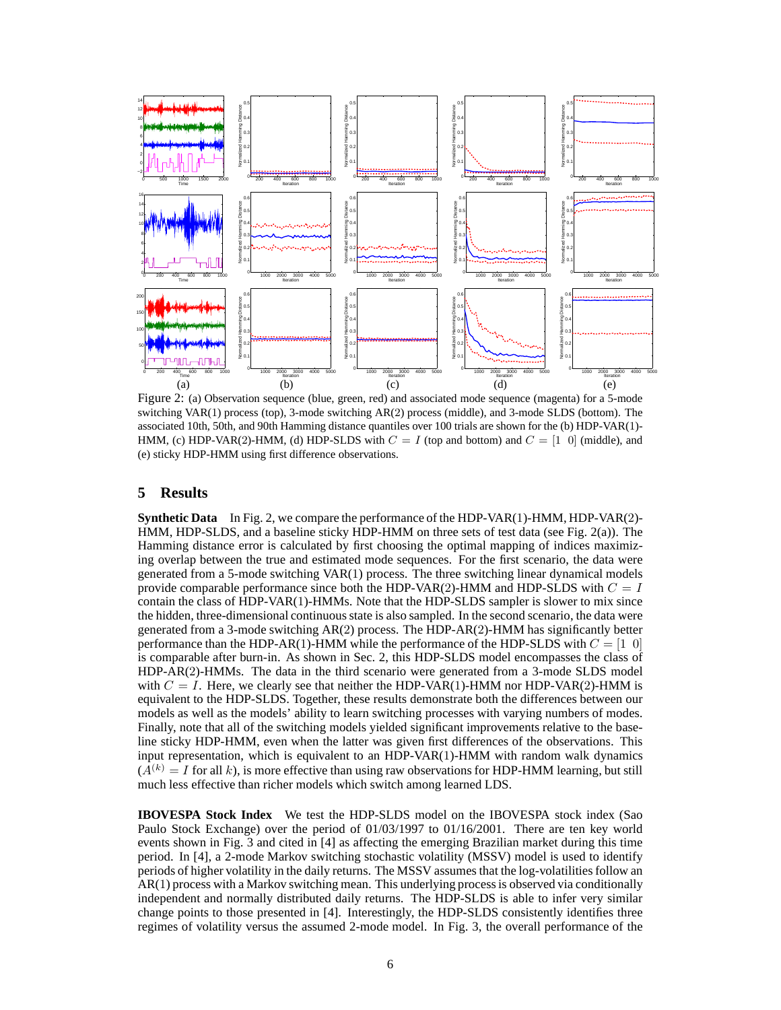

Figure 2: (a) Observation sequence (blue, green, red) and associated mode sequence (magenta) for a 5-mode switching VAR(1) process (top), 3-mode switching AR(2) process (middle), and 3-mode SLDS (bottom). The associated 10th, 50th, and 90th Hamming distance quantiles over 100 trials are shown for the (b) HDP-VAR(1)- HMM, (c) HDP-VAR(2)-HMM, (d) HDP-SLDS with  $C = I$  (top and bottom) and  $C = \begin{bmatrix} 1 & 0 \end{bmatrix}$  (middle), and (e) sticky HDP-HMM using first difference observations.

## **5 Results**

**Synthetic Data** In Fig. 2, we compare the performance of the HDP-VAR(1)-HMM, HDP-VAR(2)- HMM, HDP-SLDS, and a baseline sticky HDP-HMM on three sets of test data (see Fig. 2(a)). The Hamming distance error is calculated by first choosing the optimal mapping of indices maximizing overlap between the true and estimated mode sequences. For the first scenario, the data were generated from a 5-mode switching VAR(1) process. The three switching linear dynamical models provide comparable performance since both the HDP-VAR(2)-HMM and HDP-SLDS with  $C = I$ contain the class of HDP-VAR(1)-HMMs. Note that the HDP-SLDS sampler is slower to mix since the hidden, three-dimensional continuous state is also sampled. In the second scenario, the data were generated from a 3-mode switching AR(2) process. The HDP-AR(2)-HMM has significantly better performance than the HDP-AR(1)-HMM while the performance of the HDP-SLDS with  $C = [1 \ 0]$ is comparable after burn-in. As shown in Sec. 2, this HDP-SLDS model encompasses the class of HDP-AR(2)-HMMs. The data in the third scenario were generated from a 3-mode SLDS model with  $C = I$ . Here, we clearly see that neither the HDP-VAR(1)-HMM nor HDP-VAR(2)-HMM is equivalent to the HDP-SLDS. Together, these results demonstrate both the differences between our models as well as the models' ability to learn switching processes with varying numbers of modes. Finally, note that all of the switching models yielded significant improvements relative to the baseline sticky HDP-HMM, even when the latter was given first differences of the observations. This input representation, which is equivalent to an HDP-VAR(1)-HMM with random walk dynamics  $(A^{(k)} = I$  for all k), is more effective than using raw observations for HDP-HMM learning, but still much less effective than richer models which switch among learned LDS.

**IBOVESPA Stock Index** We test the HDP-SLDS model on the IBOVESPA stock index (Sao Paulo Stock Exchange) over the period of 01/03/1997 to 01/16/2001. There are ten key world events shown in Fig. 3 and cited in [4] as affecting the emerging Brazilian market during this time period. In [4], a 2-mode Markov switching stochastic volatility (MSSV) model is used to identify periods of higher volatility in the daily returns. The MSSV assumes that the log-volatilities follow an AR(1) process with a Markov switching mean. This underlying process is observed via conditionally independent and normally distributed daily returns. The HDP-SLDS is able to infer very similar change points to those presented in [4]. Interestingly, the HDP-SLDS consistently identifies three regimes of volatility versus the assumed 2-mode model. In Fig. 3, the overall performance of the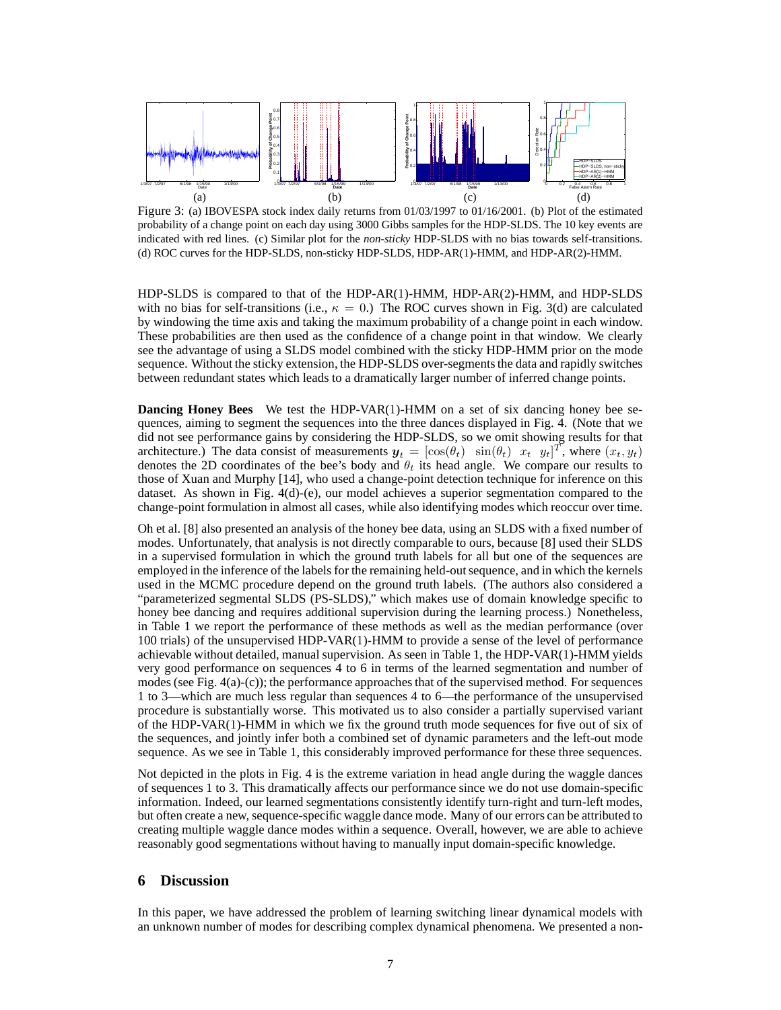

Figure 3: (a) IBOVESPA stock index daily returns from 01/03/1997 to 01/16/2001. (b) Plot of the estimated probability of a change point on each day using 3000 Gibbs samples for the HDP-SLDS. The 10 key events are indicated with red lines. (c) Similar plot for the *non-sticky* HDP-SLDS with no bias towards self-transitions. (d) ROC curves for the HDP-SLDS, non-sticky HDP-SLDS, HDP-AR(1)-HMM, and HDP-AR(2)-HMM.

HDP-SLDS is compared to that of the HDP-AR(1)-HMM, HDP-AR(2)-HMM, and HDP-SLDS with no bias for self-transitions (i.e.,  $\kappa = 0$ .) The ROC curves shown in Fig. 3(d) are calculated by windowing the time axis and taking the maximum probability of a change point in each window. These probabilities are then used as the confidence of a change point in that window. We clearly see the advantage of using a SLDS model combined with the sticky HDP-HMM prior on the mode sequence. Without the sticky extension, the HDP-SLDS over-segments the data and rapidly switches between redundant states which leads to a dramatically larger number of inferred change points.

**Dancing Honey Bees** We test the HDP-VAR(1)-HMM on a set of six dancing honey bee sequences, aiming to segment the sequences into the three dances displayed in Fig. 4. (Note that we did not see performance gains by considering the HDP-SLDS, so we omit showing results for that architecture.) The data consist of measurements  $y_t = [\cos(\theta_t) \sin(\theta_t) x_t y_t]^T$ , where  $(x_t, y_t)$ denotes the 2D coordinates of the bee's body and  $\theta_t$  its head angle. We compare our results to those of Xuan and Murphy [14], who used a change-point detection technique for inference on this dataset. As shown in Fig. 4(d)-(e), our model achieves a superior segmentation compared to the change-point formulation in almost all cases, while also identifying modes which reoccur over time.

Oh et al. [8] also presented an analysis of the honey bee data, using an SLDS with a fixed number of modes. Unfortunately, that analysis is not directly comparable to ours, because [8] used their SLDS in a supervised formulation in which the ground truth labels for all but one of the sequences are employed in the inference of the labels for the remaining held-out sequence, and in which the kernels used in the MCMC procedure depend on the ground truth labels. (The authors also considered a "parameterized segmental SLDS (PS-SLDS)," which makes use of domain knowledge specific to honey bee dancing and requires additional supervision during the learning process.) Nonetheless, in Table 1 we report the performance of these methods as well as the median performance (over 100 trials) of the unsupervised HDP-VAR(1)-HMM to provide a sense of the level of performance achievable without detailed, manual supervision. As seen in Table 1, the HDP-VAR(1)-HMM yields very good performance on sequences 4 to 6 in terms of the learned segmentation and number of modes (see Fig. 4(a)-(c)); the performance approaches that of the supervised method. For sequences 1 to 3—which are much less regular than sequences 4 to 6—the performance of the unsupervised procedure is substantially worse. This motivated us to also consider a partially supervised variant of the HDP-VAR(1)-HMM in which we fix the ground truth mode sequences for five out of six of the sequences, and jointly infer both a combined set of dynamic parameters and the left-out mode sequence. As we see in Table 1, this considerably improved performance for these three sequences.

Not depicted in the plots in Fig. 4 is the extreme variation in head angle during the waggle dances of sequences 1 to 3. This dramatically affects our performance since we do not use domain-specific information. Indeed, our learned segmentations consistently identify turn-right and turn-left modes, but often create a new, sequence-specific waggle dance mode. Many of our errors can be attributed to creating multiple waggle dance modes within a sequence. Overall, however, we are able to achieve reasonably good segmentations without having to manually input domain-specific knowledge.

## **6 Discussion**

In this paper, we have addressed the problem of learning switching linear dynamical models with an unknown number of modes for describing complex dynamical phenomena. We presented a non-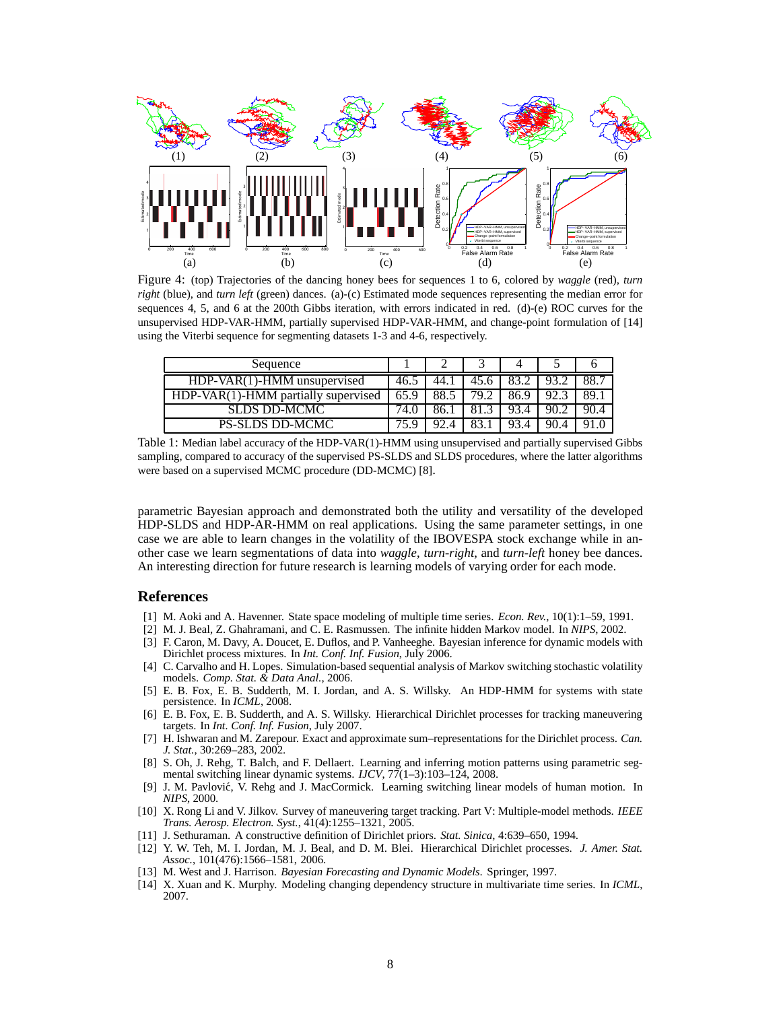

Figure 4: (top) Trajectories of the dancing honey bees for sequences 1 to 6, colored by *waggle* (red), *turn right* (blue), and *turn left* (green) dances. (a)-(c) Estimated mode sequences representing the median error for sequences 4, 5, and 6 at the 200th Gibbs iteration, with errors indicated in red. (d)-(e) ROC curves for the unsupervised HDP-VAR-HMM, partially supervised HDP-VAR-HMM, and change-point formulation of [14] using the Viterbi sequence for segmenting datasets 1-3 and 4-6, respectively.

| Sequence                              |  |                   |      |      |      |      |
|---------------------------------------|--|-------------------|------|------|------|------|
| $HDP-VAR(1)-HMM$ unsupervised         |  | $-44.$            | 45.6 |      |      |      |
| $HDP-VAR(1)-HMM$ partially supervised |  | 88.5              | 79.2 | 86.9 |      | 89.  |
| <b>SLDS DD-MCMC</b>                   |  |                   |      |      | 90.2 | 90.4 |
| <b>PS-SLDS DD-MCMC</b>                |  | $Q \mathcal{T} A$ |      |      | 90.4 |      |

Table 1: Median label accuracy of the HDP-VAR(1)-HMM using unsupervised and partially supervised Gibbs sampling, compared to accuracy of the supervised PS-SLDS and SLDS procedures, where the latter algorithms were based on a supervised MCMC procedure (DD-MCMC) [8].

parametric Bayesian approach and demonstrated both the utility and versatility of the developed HDP-SLDS and HDP-AR-HMM on real applications. Using the same parameter settings, in one case we are able to learn changes in the volatility of the IBOVESPA stock exchange while in another case we learn segmentations of data into *waggle*, *turn-right*, and *turn-left* honey bee dances. An interesting direction for future research is learning models of varying order for each mode.

## **References**

- [1] M. Aoki and A. Havenner. State space modeling of multiple time series. *Econ. Rev.*, 10(1):1–59, 1991.
- [2] M. J. Beal, Z. Ghahramani, and C. E. Rasmussen. The infinite hidden Markov model. In *NIPS*, 2002.
- [3] F. Caron, M. Davy, A. Doucet, E. Duflos, and P. Vanheeghe. Bayesian inference for dynamic models with Dirichlet process mixtures. In *Int. Conf. Inf. Fusion*, July 2006.
- [4] C. Carvalho and H. Lopes. Simulation-based sequential analysis of Markov switching stochastic volatility models. *Comp. Stat. & Data Anal.*, 2006.
- [5] E. B. Fox, E. B. Sudderth, M. I. Jordan, and A. S. Willsky. An HDP-HMM for systems with state persistence. In *ICML*, 2008.
- [6] E. B. Fox, E. B. Sudderth, and A. S. Willsky. Hierarchical Dirichlet processes for tracking maneuvering targets. In *Int. Conf. Inf. Fusion*, July 2007.
- [7] H. Ishwaran and M. Zarepour. Exact and approximate sum–representations for the Dirichlet process. *Can. J. Stat.*, 30:269–283, 2002.
- [8] S. Oh, J. Rehg, T. Balch, and F. Dellaert. Learning and inferring motion patterns using parametric segmental switching linear dynamic systems. *IJCV*, 77(1–3):103–124, 2008.
- [9] J. M. Pavlović, V. Rehg and J. MacCormick. Learning switching linear models of human motion. In *NIPS*, 2000.
- [10] X. Rong Li and V. Jilkov. Survey of maneuvering target tracking. Part V: Multiple-model methods. *IEEE Trans. Aerosp. Electron. Syst.*, 41(4):1255–1321, 2005.
- [11] J. Sethuraman. A constructive definition of Dirichlet priors. *Stat. Sinica*, 4:639–650, 1994.
- [12] Y. W. Teh, M. I. Jordan, M. J. Beal, and D. M. Blei. Hierarchical Dirichlet processes. *J. Amer. Stat. Assoc.*, 101(476):1566–1581, 2006.
- [13] M. West and J. Harrison. *Bayesian Forecasting and Dynamic Models*. Springer, 1997.
- [14] X. Xuan and K. Murphy. Modeling changing dependency structure in multivariate time series. In *ICML*, 2007.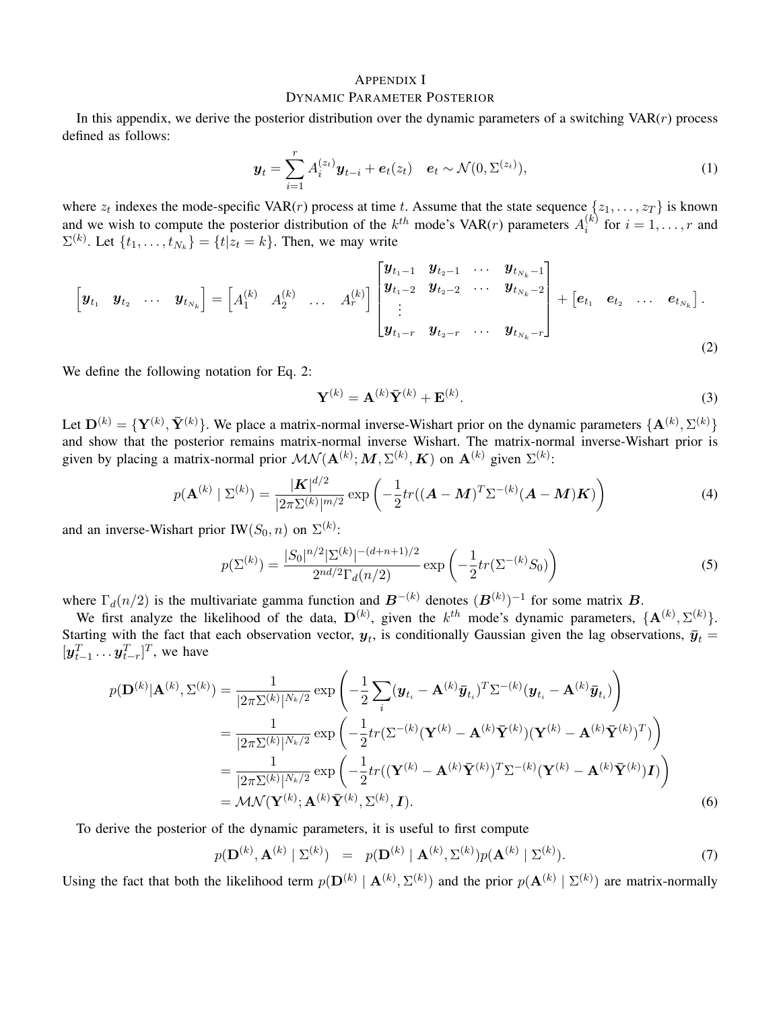## APPENDIX I DYNAMIC PARAMETER POSTERIOR

In this appendix, we derive the posterior distribution over the dynamic parameters of a switching  $VAR(r)$  process defined as follows:

$$
\mathbf{y}_t = \sum_{i=1}^r A_i^{(z_t)} \mathbf{y}_{t-i} + \mathbf{e}_t(z_t) \quad \mathbf{e}_t \sim \mathcal{N}(0, \Sigma^{(z_t)}), \tag{1}
$$

where  $z_t$  indexes the mode-specific VAR(*r*) process at time t. Assume that the state sequence  $\{z_1, \ldots, z_T\}$  is known and we wish to compute the posterior distribution of the  $k^{th}$  mode's VAR(*r*) parameters  $A_i^{(k)}$  $i^{(k)}$  for  $i = 1, \ldots, r$  and  $\Sigma^{(k)}$ . Let  $\{t_1, \ldots, t_{N_k}\} = \{t | z_t = k\}$ . Then, we may write

$$
\begin{bmatrix} \mathbf{y}_{t_1} & \mathbf{y}_{t_2} & \cdots & \mathbf{y}_{t_{N_k}} \end{bmatrix} = \begin{bmatrix} A_1^{(k)} & A_2^{(k)} & \cdots & A_r^{(k)} \end{bmatrix} \begin{bmatrix} \mathbf{y}_{t_1-1} & \mathbf{y}_{t_2-1} & \cdots & \mathbf{y}_{t_{N_k}-1} \\ \mathbf{y}_{t_1-2} & \mathbf{y}_{t_2-2} & \cdots & \mathbf{y}_{t_{N_k}-2} \\ \vdots & \vdots & \ddots & \vdots \\ \mathbf{y}_{t_1-r} & \mathbf{y}_{t_2-r} & \cdots & \mathbf{y}_{t_{N_k}-r} \end{bmatrix} + \begin{bmatrix} \mathbf{e}_{t_1} & \mathbf{e}_{t_2} & \cdots & \mathbf{e}_{t_{N_k}} \end{bmatrix}.
$$
\n(2)

We define the following notation for Eq. 2:

$$
\mathbf{Y}^{(k)} = \mathbf{A}^{(k)} \bar{\mathbf{Y}}^{(k)} + \mathbf{E}^{(k)}.
$$
 (3)

Let  $\mathbf{D}^{(k)} = {\{\mathbf{Y}^{(k)}, \mathbf{\bar{Y}}^{(k)}\}}$ . We place a matrix-normal inverse-Wishart prior on the dynamic parameters  ${\{\mathbf{A}^{(k)}, \Sigma^{(k)}\}}$ and show that the posterior remains matrix-normal inverse Wishart. The matrix-normal inverse-Wishart prior is given by placing a matrix-normal prior  $\mathcal{MN}(\mathbf{A}^{(k)}; \mathbf{M}, \Sigma^{(k)}, \mathbf{K})$  on  $\mathbf{A}^{(k)}$  given  $\Sigma^{(k)}$ :

$$
p(\mathbf{A}^{(k)} | \Sigma^{(k)}) = \frac{|\mathbf{K}|^{d/2}}{|2\pi\Sigma^{(k)}|^{m/2}} \exp\left(-\frac{1}{2}tr((\mathbf{A} - \mathbf{M})^T\Sigma^{-(k)}(\mathbf{A} - \mathbf{M})\mathbf{K})\right)
$$
(4)

and an inverse-Wishart prior IW $(S_0, n)$  on  $\Sigma^{(k)}$ :

$$
p(\Sigma^{(k)}) = \frac{|S_0|^{n/2} |\Sigma^{(k)}|^{-(d+n+1)/2}}{2^{nd/2} \Gamma_d(n/2)} \exp\left(-\frac{1}{2} tr(\Sigma^{-(k)} S_0)\right)
$$
(5)

where  $\Gamma_d(n/2)$  is the multivariate gamma function and  $\boldsymbol{B}^{-(k)}$  denotes  $(\boldsymbol{B}^{(k)})^{-1}$  for some matrix  $\boldsymbol{B}$ .

We first analyze the likelihood of the data,  $D^{(k)}$ , given the  $k^{th}$  mode's dynamic parameters,  $\{A^{(k)}, \Sigma^{(k)}\}$ . Starting with the fact that each observation vector,  $y_t$ , is conditionally Gaussian given the lag observations,  $\bar{y}_t$  =  $[\mathbf{y}_{t-1}^T \dots \mathbf{y}_{t-r}^T]^T$ , we have

$$
p(\mathbf{D}^{(k)}|\mathbf{A}^{(k)},\Sigma^{(k)}) = \frac{1}{|2\pi\Sigma^{(k)}|^{N_k/2}} \exp\left(-\frac{1}{2}\sum_{i}(\mathbf{y}_{t_i}-\mathbf{A}^{(k)}\bar{\mathbf{y}}_{t_i})^T\Sigma^{-(k)}(\mathbf{y}_{t_i}-\mathbf{A}^{(k)}\bar{\mathbf{y}}_{t_i})\right)
$$
  
\n
$$
= \frac{1}{|2\pi\Sigma^{(k)}|^{N_k/2}} \exp\left(-\frac{1}{2}tr(\Sigma^{-(k)}(\mathbf{Y}^{(k)}-\mathbf{A}^{(k)}\bar{\mathbf{Y}}^{(k)})(\mathbf{Y}^{(k)}-\mathbf{A}^{(k)}\bar{\mathbf{Y}}^{(k)})^T)\right)
$$
  
\n
$$
= \frac{1}{|2\pi\Sigma^{(k)}|^{N_k/2}} \exp\left(-\frac{1}{2}tr((\mathbf{Y}^{(k)}-\mathbf{A}^{(k)}\bar{\mathbf{Y}}^{(k)})^T\Sigma^{-(k)}(\mathbf{Y}^{(k)}-\mathbf{A}^{(k)}\bar{\mathbf{Y}}^{(k)})\mathbf{I})\right)
$$
  
\n
$$
= \mathcal{MN}(\mathbf{Y}^{(k)};\mathbf{A}^{(k)}\bar{\mathbf{Y}}^{(k)},\Sigma^{(k)},\mathbf{I}).
$$
 (6)

To derive the posterior of the dynamic parameters, it is useful to first compute

$$
p(\mathbf{D}^{(k)}, \mathbf{A}^{(k)} | \Sigma^{(k)}) = p(\mathbf{D}^{(k)} | \mathbf{A}^{(k)}, \Sigma^{(k)}) p(\mathbf{A}^{(k)} | \Sigma^{(k)}).
$$
 (7)

Using the fact that both the likelihood term  $p(\mathbf{D}^{(k)} | \mathbf{A}^{(k)}, \Sigma^{(k)})$  and the prior  $p(\mathbf{A}^{(k)} | \Sigma^{(k)})$  are matrix-normally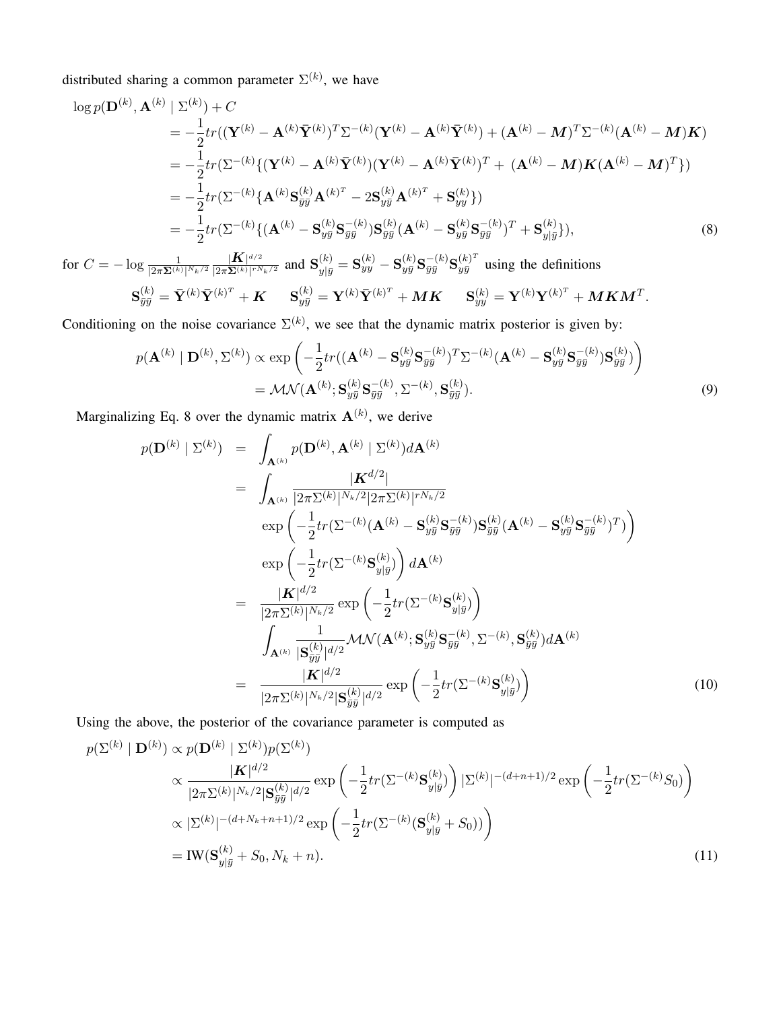distributed sharing a common parameter  $\Sigma^{(k)}$ , we have

$$
\log p(\mathbf{D}^{(k)}, \mathbf{A}^{(k)} | \Sigma^{(k)}) + C
$$
\n
$$
= -\frac{1}{2} tr((\mathbf{Y}^{(k)} - \mathbf{A}^{(k)} \bar{\mathbf{Y}}^{(k)})^T \Sigma^{-(k)} (\mathbf{Y}^{(k)} - \mathbf{A}^{(k)} \bar{\mathbf{Y}}^{(k)}) + (\mathbf{A}^{(k)} - \mathbf{M})^T \Sigma^{-(k)} (\mathbf{A}^{(k)} - \mathbf{M}) \mathbf{K})
$$
\n
$$
= -\frac{1}{2} tr(\Sigma^{-(k)} \{ (\mathbf{Y}^{(k)} - \mathbf{A}^{(k)} \bar{\mathbf{Y}}^{(k)}) (\mathbf{Y}^{(k)} - \mathbf{A}^{(k)} \bar{\mathbf{Y}}^{(k)})^T + (\mathbf{A}^{(k)} - \mathbf{M}) \mathbf{K} (\mathbf{A}^{(k)} - \mathbf{M})^T \})
$$
\n
$$
= -\frac{1}{2} tr(\Sigma^{-(k)} \{ \mathbf{A}^{(k)} \mathbf{S}_{yy}^{(k)} \mathbf{A}^{(k)^T} - 2 \mathbf{S}_{yy}^{(k)} \mathbf{A}^{(k)^T} + \mathbf{S}_{yy}^{(k)} \})
$$
\n
$$
= -\frac{1}{2} tr(\Sigma^{-(k)} \{ (\mathbf{A}^{(k)} - \mathbf{S}_{yy}^{(k)} \mathbf{S}_{yy}^{-(k)}) \mathbf{S}_{yy}^{(k)} (\mathbf{A}^{(k)} - \mathbf{S}_{yy}^{(k)} \mathbf{S}_{yy}^{-(k)})^T + \mathbf{S}_{y|y}^{(k)} \} ),
$$
\n(8)

for  $C=-\log \frac{1}{|2\pi \mathbf{\Sigma}^{(k)}|^{N_k/2}}$  $|\boldsymbol K|^{d/2}$  $\frac{|\mathbf{K}|^{d/2}}{|2\pi\mathbf{\Sigma}^{(k)}|^{rN_k/2}}$  and  $\mathbf{S}_{y|\bar{y}}^{(k)} = \mathbf{S}_{yy}^{(k)} - \mathbf{S}_{y\bar{y}}^{(k)} \mathbf{S}_{\bar{y}\bar{y}}^{-(k)} \mathbf{S}_{y\bar{y}}^{(k)^T}$  using the definitions

$$
\mathbf{S}^{(k)}_{\bar{y}\bar{y}}=\bar{\mathbf{Y}}^{(k)}\bar{\mathbf{Y}}^{(k)^{T}}+\boldsymbol{K}\hspace{0.5cm}\mathbf{S}^{(k)}_{y\bar{y}}=\mathbf{Y}^{(k)}\bar{\mathbf{Y}}^{(k)^{T}}+\boldsymbol{M}\boldsymbol{K}\hspace{0.5cm}\mathbf{S}^{(k)}_{yy}=\mathbf{Y}^{(k)}\mathbf{Y}^{(k)^{T}}+\boldsymbol{M}\boldsymbol{K}\boldsymbol{M}^{T}.
$$

Conditioning on the noise covariance  $\Sigma^{(k)}$ , we see that the dynamic matrix posterior is given by:

$$
p(\mathbf{A}^{(k)} | \mathbf{D}^{(k)}, \Sigma^{(k)}) \propto \exp\left(-\frac{1}{2}tr((\mathbf{A}^{(k)} - \mathbf{S}_{y\bar{y}}^{(k)}\mathbf{S}_{\bar{y}\bar{y}}^{-(k)})^T\Sigma^{-(k)}(\mathbf{A}^{(k)} - \mathbf{S}_{y\bar{y}}^{(k)}\mathbf{S}_{\bar{y}\bar{y}}^{-(k)})\mathbf{S}_{y\bar{y}}^{(k)})\right)
$$
  
=  $\mathcal{M}\mathcal{N}(\mathbf{A}^{(k)}; \mathbf{S}_{y\bar{y}}^{(k)}\mathbf{S}_{\bar{y}\bar{y}}^{-(k)}, \Sigma^{-(k)}, \mathbf{S}_{\bar{y}\bar{y}}^{(k)}).$  (9)

Marginalizing Eq. 8 over the dynamic matrix  $A^{(k)}$ , we derive

$$
p(\mathbf{D}^{(k)} | \Sigma^{(k)}) = \int_{\mathbf{A}^{(k)}} p(\mathbf{D}^{(k)}, \mathbf{A}^{(k)} | \Sigma^{(k)}) d\mathbf{A}^{(k)}
$$
  
\n
$$
= \int_{\mathbf{A}^{(k)}} \frac{|\mathbf{K}^{d/2}|}{|2\pi \Sigma^{(k)}|^{N_k/2} |2\pi \Sigma^{(k)}|^{rN_k/2}} \exp\left(-\frac{1}{2} tr(\Sigma^{-(k)} (\mathbf{A}^{(k)} - \mathbf{S}_{y\bar{y}}^{(k)} \mathbf{S}_{\bar{y}\bar{y}}^{-(k)}) \mathbf{S}_{\bar{y}\bar{y}}^{(k)} (\mathbf{A}^{(k)} - \mathbf{S}_{y\bar{y}}^{(k)} \mathbf{S}_{\bar{y}\bar{y}}^{-(k)})^T)\right) \exp\left(-\frac{1}{2} tr(\Sigma^{-(k)} \mathbf{S}_{y|y}^{(k)})\right) d\mathbf{A}^{(k)}
$$
  
\n
$$
= \frac{|\mathbf{K}|^{d/2}}{|2\pi \Sigma^{(k)}|^{N_k/2}} \exp\left(-\frac{1}{2} tr(\Sigma^{-(k)} \mathbf{S}_{y|\bar{y}}^{(k)})\right) \left(\int_{\mathbf{A}^{(k)}} \frac{1}{|\mathbf{S}_{\bar{y}\bar{y}}^{(k)}|^{d/2}} \mathcal{M} \mathcal{N} (\mathbf{A}^{(k)}; \mathbf{S}_{y\bar{y}}^{(k)} \mathbf{S}_{\bar{y}\bar{y}}^{-(k)}, \Sigma^{-(k)}, \mathbf{S}_{\bar{y}\bar{y}}^{(k)}) d\mathbf{A}^{(k)}
$$
  
\n
$$
= \frac{|\mathbf{K}|^{d/2}}{|2\pi \Sigma^{(k)}|^{N_k/2} |\mathbf{S}_{\bar{y}\bar{y}}^{(k)}|^{d/2}} \exp\left(-\frac{1}{2} tr(\Sigma^{-(k)} \mathbf{S}_{y|\bar{y}}^{(k)})\right) \tag{10}
$$

Using the above, the posterior of the covariance parameter is computed as

$$
p(\Sigma^{(k)} | \mathbf{D}^{(k)}) \propto p(\mathbf{D}^{(k)} | \Sigma^{(k)}) p(\Sigma^{(k)})
$$
  
\n
$$
\propto \frac{|\mathbf{K}|^{d/2}}{|2\pi\Sigma^{(k)}|^{N_k/2} |\mathbf{S}_{\bar{y}\bar{y}}^{(k)}|^{d/2}} \exp\left(-\frac{1}{2}tr(\Sigma^{-(k)}\mathbf{S}_{y|\bar{y}}^{(k)})\right) |\Sigma^{(k)}|^{-(d+n+1)/2} \exp\left(-\frac{1}{2}tr(\Sigma^{-(k)}S_{0})\right)
$$
  
\n
$$
\propto |\Sigma^{(k)}|^{-(d+N_k+n+1)/2} \exp\left(-\frac{1}{2}tr(\Sigma^{-(k)}(\mathbf{S}_{y|\bar{y}}^{(k)} + S_{0}))\right)
$$
  
\n
$$
= \text{IW}(\mathbf{S}_{y|\bar{y}}^{(k)} + S_{0}, N_{k} + n).
$$
\n(11)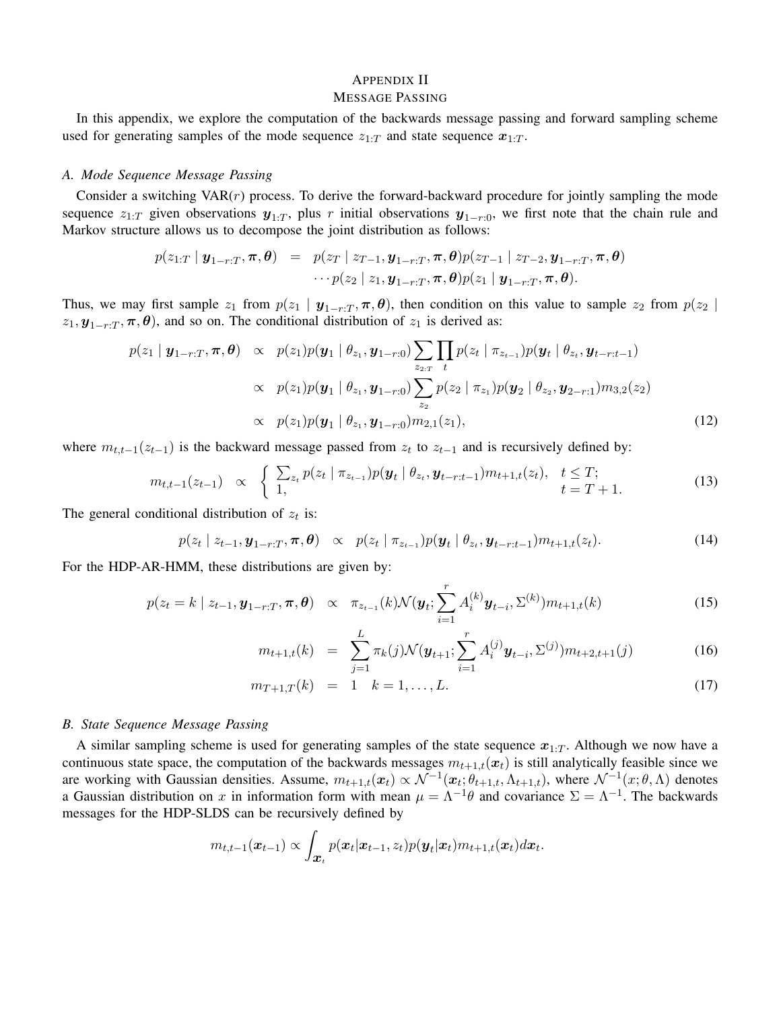#### APPENDIX II MESSAGE PASSING

In this appendix, we explore the computation of the backwards message passing and forward sampling scheme used for generating samples of the mode sequence  $z_{1:T}$  and state sequence  $x_{1:T}$ .

#### *A. Mode Sequence Message Passing*

Consider a switching  $VAR(r)$  process. To derive the forward-backward procedure for jointly sampling the mode sequence  $z_{1:T}$  given observations  $y_{1:T}$ , plus r initial observations  $y_{1-r:0}$ , we first note that the chain rule and Markov structure allows us to decompose the joint distribution as follows:

$$
p(z_{1:T} \mid \boldsymbol{y}_{1-r:T}, \boldsymbol{\pi}, \boldsymbol{\theta}) = p(z_T \mid z_{T-1}, \boldsymbol{y}_{1-r:T}, \boldsymbol{\pi}, \boldsymbol{\theta}) p(z_{T-1} \mid z_{T-2}, \boldsymbol{y}_{1-r:T}, \boldsymbol{\pi}, \boldsymbol{\theta})
$$

$$
\cdots p(z_2 \mid z_1, \boldsymbol{y}_{1-r:T}, \boldsymbol{\pi}, \boldsymbol{\theta}) p(z_1 \mid \boldsymbol{y}_{1-r:T}, \boldsymbol{\pi}, \boldsymbol{\theta}).
$$

Thus, we may first sample  $z_1$  from  $p(z_1 | y_{1-r:T}, \pi, \theta)$ , then condition on this value to sample  $z_2$  from  $p(z_2 |$  $z_1$ ,  $y_{1-r:T}$ ,  $\pi$ ,  $\theta$ ), and so on. The conditional distribution of  $z_1$  is derived as:

$$
p(z_1 | \mathbf{y}_{1-r:T}, \boldsymbol{\pi}, \boldsymbol{\theta}) \propto p(z_1) p(\mathbf{y}_1 | \theta_{z_1}, \mathbf{y}_{1-r:0}) \sum_{z_{2:T}} \prod_t p(z_t | \pi_{z_{t-1}}) p(\mathbf{y}_t | \theta_{z_t}, \mathbf{y}_{t-r:t-1})
$$
  
 
$$
\propto p(z_1) p(\mathbf{y}_1 | \theta_{z_1}, \mathbf{y}_{1-r:0}) \sum_{z_2} p(z_2 | \pi_{z_1}) p(\mathbf{y}_2 | \theta_{z_2}, \mathbf{y}_{2-r:1}) m_{3,2}(z_2)
$$
  
 
$$
\propto p(z_1) p(\mathbf{y}_1 | \theta_{z_1}, \mathbf{y}_{1-r:0}) m_{2,1}(z_1),
$$
 (12)

where  $m_{t,t-1}(z_{t-1})$  is the backward message passed from  $z_t$  to  $z_{t-1}$  and is recursively defined by:

$$
m_{t,t-1}(z_{t-1}) \propto \begin{cases} \sum_{z_t} p(z_t \mid \pi_{z_{t-1}}) p(\mathbf{y}_t \mid \theta_{z_t}, \mathbf{y}_{t-r:t-1}) m_{t+1,t}(z_t), & t \leq T; \\ 1, & t = T+1. \end{cases}
$$
(13)

The general conditional distribution of  $z_t$  is:

$$
p(z_t \mid z_{t-1}, \boldsymbol{y}_{1-r:T}, \boldsymbol{\pi}, \boldsymbol{\theta}) \propto p(z_t \mid \pi_{z_{t-1}}) p(\boldsymbol{y}_t \mid \boldsymbol{\theta}_{z_t}, \boldsymbol{y}_{t-r:t-1}) m_{t+1,t}(z_t). \tag{14}
$$

For the HDP-AR-HMM, these distributions are given by:

$$
p(z_t = k \mid z_{t-1}, \mathbf{y}_{1-r:T}, \boldsymbol{\pi}, \boldsymbol{\theta}) \propto \pi_{z_{t-1}}(k) \mathcal{N}(\mathbf{y}_t; \sum_{i=1}^r A_i^{(k)} \mathbf{y}_{t-i}, \Sigma^{(k)}) m_{t+1,t}(k)
$$
(15)

$$
m_{t+1,t}(k) = \sum_{j=1}^{L} \pi_k(j) \mathcal{N}(\boldsymbol{y}_{t+1}; \sum_{i=1}^{r} A_i^{(j)} \boldsymbol{y}_{t-i}, \Sigma^{(j)}) m_{t+2,t+1}(j)
$$
(16)

$$
m_{T+1,T}(k) = 1 \quad k = 1, \dots, L. \tag{17}
$$

#### *B. State Sequence Message Passing*

A similar sampling scheme is used for generating samples of the state sequence  $x_{1:T}$ . Although we now have a continuous state space, the computation of the backwards messages  $m_{t+1,t}(x_t)$  is still analytically feasible since we are working with Gaussian densities. Assume,  $m_{t+1,t}(x_t) \propto \mathcal{N}^{-1}(x_t; \theta_{t+1,t}, \Lambda_{t+1,t})$ , where  $\mathcal{N}^{-1}(x; \theta, \Lambda)$  denotes a Gaussian distribution on x in information form with mean  $\mu = \Lambda^{-1}\theta$  and covariance  $\Sigma = \Lambda^{-1}$ . The backwards messages for the HDP-SLDS can be recursively defined by

$$
m_{t,t-1}(\boldsymbol{x}_{t-1}) \propto \int_{\boldsymbol{x}_t} p(\boldsymbol{x}_t|\boldsymbol{x}_{t-1},z_t) p(\boldsymbol{y}_t|\boldsymbol{x}_t) m_{t+1,t}(\boldsymbol{x}_t) d\boldsymbol{x}_t.
$$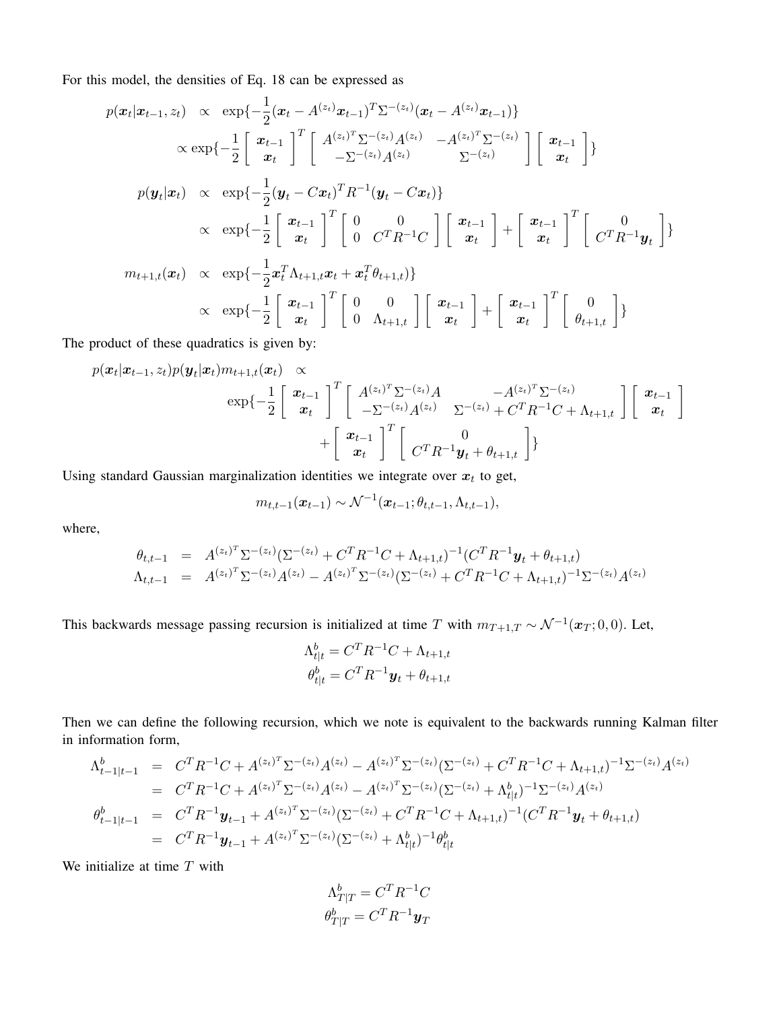For this model, the densities of Eq. 18 can be expressed as

$$
p(\mathbf{x}_{t}|\mathbf{x}_{t-1}, z_{t}) \propto \exp\{-\frac{1}{2}(\mathbf{x}_{t} - A^{(z_{t})}\mathbf{x}_{t-1})^{T}\sum^{-(z_{t})}(\mathbf{x}_{t} - A^{(z_{t})}\mathbf{x}_{t-1})\}\n\times \exp\{-\frac{1}{2}\begin{bmatrix}\n\mathbf{x}_{t-1} \\
\mathbf{x}_{t}\n\end{bmatrix}^{T}\begin{bmatrix}\nA^{(z_{t})^{T}}\sum^{-(z_{t})}A^{(z_{t})} & -A^{(z_{t})^{T}}\sum^{-(z_{t})}\n\end{bmatrix}\begin{bmatrix}\n\mathbf{x}_{t-1} \\
\mathbf{x}_{t}\n\end{bmatrix}\}
$$
\n
$$
p(\mathbf{y}_{t}|\mathbf{x}_{t}) \propto \exp\{-\frac{1}{2}(\mathbf{y}_{t} - C\mathbf{x}_{t})^{T}R^{-1}(\mathbf{y}_{t} - C\mathbf{x}_{t})\}\n\times \exp\{-\frac{1}{2}\begin{bmatrix}\n\mathbf{x}_{t-1} \\
\mathbf{x}_{t}\n\end{bmatrix}^{T}\begin{bmatrix}\n0 & 0 \\
0 & C^{T}R^{-1}C\n\end{bmatrix}\begin{bmatrix}\n\mathbf{x}_{t-1} \\
\mathbf{x}_{t}\n\end{bmatrix} + \begin{bmatrix}\n\mathbf{x}_{t-1} \\
\mathbf{x}_{t}\n\end{bmatrix}^{T}\begin{bmatrix}\n0 \\
C^{T}R^{-1}\mathbf{y}_{t}\n\end{bmatrix}\}
$$
\n
$$
m_{t+1,t}(\mathbf{x}_{t}) \propto \exp\{-\frac{1}{2}\mathbf{x}_{t}^{T}\Lambda_{t+1,t}\mathbf{x}_{t} + \mathbf{x}_{t}^{T}\theta_{t+1,t}\}
$$
\n
$$
\propto \exp\{-\frac{1}{2}\begin{bmatrix}\n\mathbf{x}_{t-1} \\
\mathbf{x}_{t}\n\end{bmatrix}^{T}\begin{bmatrix}\n0 & 0 \\
0 & \Lambda_{t+1,t}\n\end{bmatrix}\begin{bmatrix}\n\mathbf{x}_{t-1} \\
\mathbf{x}_{t}\n\end{bmatrix} + \begin{bmatrix}\n\mathbf{x}_{t-1} \\
\mathbf{x}_{t}\n\end{bmatrix}^{T}\begin{bmatrix}\n0 \\
\theta_{t+1,t}\n\end{bmatrix}
$$

The product of these quadratics is given by:

$$
p(\mathbf{x}_{t}|\mathbf{x}_{t-1}, z_{t})p(\mathbf{y}_{t}|\mathbf{x}_{t})m_{t+1,t}(\mathbf{x}_{t}) \propto\n\exp\left\{-\frac{1}{2}\begin{bmatrix}\n\mathbf{x}_{t-1} \\
\mathbf{x}_{t}\n\end{bmatrix}^{T}\begin{bmatrix}\nA^{(z_{t})^{T}}\Sigma^{-(z_{t})}A & -A^{(z_{t})^{T}}\Sigma^{-(z_{t})} \\
-\Sigma^{-(z_{t})}A^{(z_{t})} & \Sigma^{-(z_{t})}+C^{T}R^{-1}C+\Lambda_{t+1,t}\n\end{bmatrix}\begin{bmatrix}\n\mathbf{x}_{t-1} \\
\mathbf{x}_{t}\n\end{bmatrix} + \begin{bmatrix}\n\mathbf{x}_{t-1} \\
\mathbf{x}_{t}\n\end{bmatrix}^{T}\begin{bmatrix}\n0 \\
C^{T}R^{-1}\mathbf{y}_{t}+\theta_{t+1,t}\n\end{bmatrix}
$$

Using standard Gaussian marginalization identities we integrate over  $x_t$  to get,

$$
m_{t,t-1}(\boldsymbol{x}_{t-1}) \sim \mathcal{N}^{-1}(\boldsymbol{x}_{t-1}; \theta_{t,t-1}, \Lambda_{t,t-1}),
$$

where,

$$
\theta_{t,t-1} = A^{(z_t)^T} \Sigma^{-(z_t)} (\Sigma^{-(z_t)} + C^T R^{-1} C + \Lambda_{t+1,t})^{-1} (C^T R^{-1} y_t + \theta_{t+1,t})
$$
  
\n
$$
\Lambda_{t,t-1} = A^{(z_t)^T} \Sigma^{-(z_t)} A^{(z_t)} - A^{(z_t)^T} \Sigma^{-(z_t)} (\Sigma^{-(z_t)} + C^T R^{-1} C + \Lambda_{t+1,t})^{-1} \Sigma^{-(z_t)} A^{(z_t)}
$$

This backwards message passing recursion is initialized at time T with  $m_{T+1,T} \sim \mathcal{N}^{-1}(\boldsymbol{x}_T; 0,0)$ . Let,

$$
\Lambda_{t|t}^b = C^T R^{-1} C + \Lambda_{t+1,t}
$$

$$
\theta_{t|t}^b = C^T R^{-1} \mathbf{y}_t + \theta_{t+1,t}
$$

Then we can define the following recursion, which we note is equivalent to the backwards running Kalman filter in information form,

$$
\Lambda_{t-1|t-1}^{b} = C^{T} R^{-1} C + A^{(z_{t})^{T}} \Sigma^{-(z_{t})} A^{(z_{t})} - A^{(z_{t})^{T}} \Sigma^{-(z_{t})} (\Sigma^{-(z_{t})} + C^{T} R^{-1} C + \Lambda_{t+1,t})^{-1} \Sigma^{-(z_{t})} A^{(z_{t})}
$$
\n
$$
= C^{T} R^{-1} C + A^{(z_{t})^{T}} \Sigma^{-(z_{t})} A^{(z_{t})} - A^{(z_{t})^{T}} \Sigma^{-(z_{t})} (\Sigma^{-(z_{t})} + \Lambda_{t|t}^{b})^{-1} \Sigma^{-(z_{t})} A^{(z_{t})}
$$
\n
$$
\theta_{t-1|t-1}^{b} = C^{T} R^{-1} \mathbf{y}_{t-1} + A^{(z_{t})^{T}} \Sigma^{-(z_{t})} (\Sigma^{-(z_{t})} + C^{T} R^{-1} C + \Lambda_{t+1,t})^{-1} (C^{T} R^{-1} \mathbf{y}_{t} + \theta_{t+1,t})
$$
\n
$$
= C^{T} R^{-1} \mathbf{y}_{t-1} + A^{(z_{t})^{T}} \Sigma^{-(z_{t})} (\Sigma^{-(z_{t})} + \Lambda_{t|t}^{b})^{-1} \theta_{t|t}^{b}
$$

We initialize at time  $T$  with

$$
\Lambda_{T|T}^b = C^T R^{-1} C
$$

$$
\theta_{T|T}^b = C^T R^{-1} \mathbf{y}_T
$$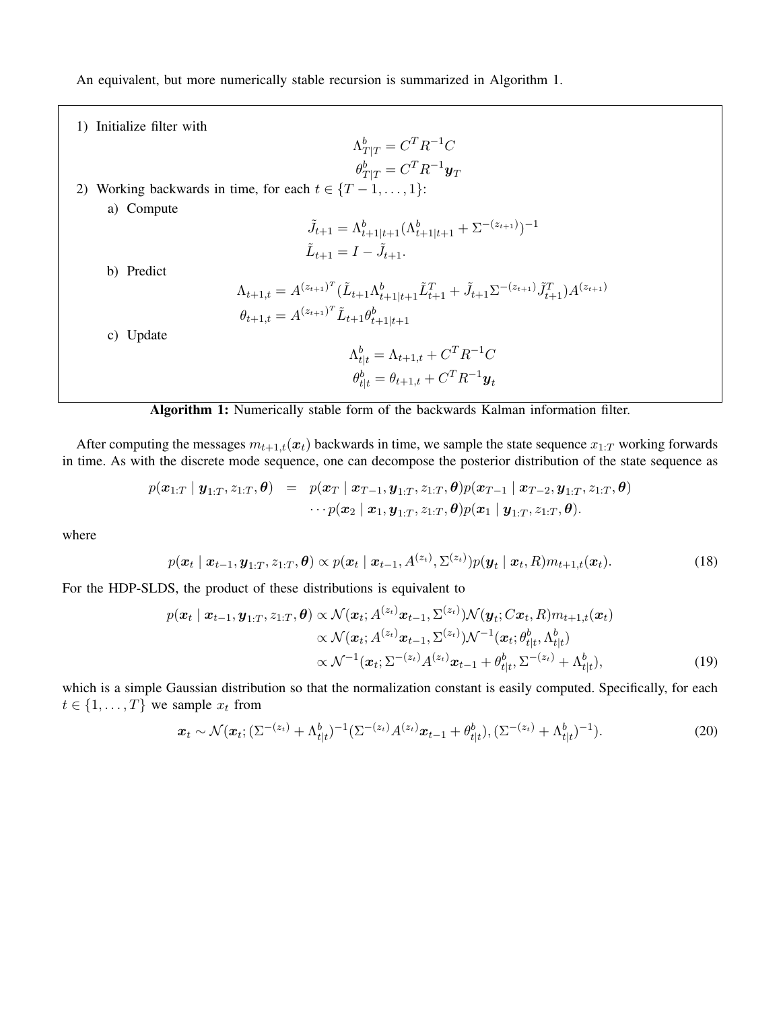An equivalent, but more numerically stable recursion is summarized in Algorithm 1.

1) Initialize filter with  $\Lambda_{T|T}^b = C^T R^{-1} C$  $\theta_{T|T}^b = C^T R^{-1} \boldsymbol{y}_T$ 2) Working backwards in time, for each  $t \in \{T-1, \ldots, 1\}$ : a) Compute  $\tilde{J}_{t+1} = \Lambda^b_{t+1|t+1} (\Lambda^b_{t+1|t+1} + \Sigma^{-(z_{t+1})})^{-1}$  $\tilde{L}_{t+1} = I - \tilde{J}_{t+1}.$ b) Predict  $\Lambda_{t+1,t} = A^{(z_{t+1})^T} (\tilde{L}_{t+1} \Lambda_{t+1|t+1}^b \tilde{L}_{t+1}^T + \tilde{J}_{t+1} \Sigma^{-(z_{t+1})} \tilde{J}_{t+1}^T) A^{(z_{t+1})}$  $\theta_{t+1,t} = A^{(z_{t+1})^T} \tilde{L}_{t+1} \theta_{t+1|t+1}^b$ c) Update  $\Lambda^b_{t|t} = \Lambda_{t+1,t} + C^T R^{-1} C$  $\theta_{t|t}^{b} = \theta_{t+1,t} + C^T R^{-1} \boldsymbol{y}_t$ 

## Algorithm 1: Numerically stable form of the backwards Kalman information filter.

After computing the messages  $m_{t+1,t}(x_t)$  backwards in time, we sample the state sequence  $x_{1:T}$  working forwards in time. As with the discrete mode sequence, one can decompose the posterior distribution of the state sequence as

$$
\begin{array}{lcl} p(\boldsymbol{x}_{1:T} \mid \boldsymbol{y}_{1:T}, z_{1:T}, \boldsymbol{\theta}) & = & p(\boldsymbol{x}_{T} \mid \boldsymbol{x}_{T-1}, \boldsymbol{y}_{1:T}, z_{1:T}, \boldsymbol{\theta}) p(\boldsymbol{x}_{T-1} \mid \boldsymbol{x}_{T-2}, \boldsymbol{y}_{1:T}, z_{1:T}, \boldsymbol{\theta}) \\ & \cdots p(\boldsymbol{x}_{2} \mid \boldsymbol{x}_{1}, \boldsymbol{y}_{1:T}, z_{1:T}, \boldsymbol{\theta}) p(\boldsymbol{x}_{1} \mid \boldsymbol{y}_{1:T}, z_{1:T}, \boldsymbol{\theta}). \end{array}
$$

where

$$
p(\boldsymbol{x}_t \mid \boldsymbol{x}_{t-1}, \boldsymbol{y}_{1:T}, z_{1:T}, \boldsymbol{\theta}) \propto p(\boldsymbol{x}_t \mid \boldsymbol{x}_{t-1}, A^{(z_t)}, \Sigma^{(z_t)}) p(\boldsymbol{y}_t \mid \boldsymbol{x}_t, R) m_{t+1,t}(\boldsymbol{x}_t). \tag{18}
$$

For the HDP-SLDS, the product of these distributions is equivalent to

$$
p(\boldsymbol{x}_t | \boldsymbol{x}_{t-1}, \boldsymbol{y}_{1:T}, z_{1:T}, \boldsymbol{\theta}) \propto \mathcal{N}(\boldsymbol{x}_t; A^{(z_t)} \boldsymbol{x}_{t-1}, \Sigma^{(z_t)}) \mathcal{N}(\boldsymbol{y}_t; C \boldsymbol{x}_t, R) m_{t+1,t}(\boldsymbol{x}_t) \propto \mathcal{N}(\boldsymbol{x}_t; A^{(z_t)} \boldsymbol{x}_{t-1}, \Sigma^{(z_t)}) \mathcal{N}^{-1}(\boldsymbol{x}_t; \theta_{t|t}^b, \Lambda_{t|t}^b) \propto \mathcal{N}^{-1}(\boldsymbol{x}_t; \Sigma^{-(z_t)} A^{(z_t)} \boldsymbol{x}_{t-1} + \theta_{t|t}^b, \Sigma^{-(z_t)} + \Lambda_{t|t}^b),
$$
\n(19)

which is a simple Gaussian distribution so that the normalization constant is easily computed. Specifically, for each  $t \in \{1, \ldots, T\}$  we sample  $x_t$  from

$$
\boldsymbol{x}_t \sim \mathcal{N}(\boldsymbol{x}_t; (\Sigma^{-(z_t)} + \Lambda^b_{t|t})^{-1} (\Sigma^{-(z_t)} A^{(z_t)} \boldsymbol{x}_{t-1} + \theta^b_{t|t}), (\Sigma^{-(z_t)} + \Lambda^b_{t|t})^{-1}). \tag{20}
$$